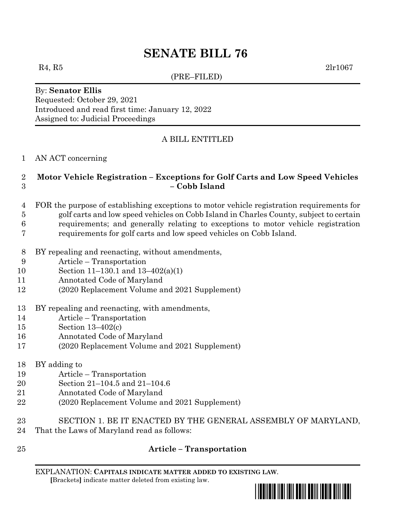# **SENATE BILL 76**

(PRE–FILED)

 $R_4, R_5$  2lr1067

#### By: **Senator Ellis** Requested: October 29, 2021 Introduced and read first time: January 12, 2022 Assigned to: Judicial Proceedings

# A BILL ENTITLED

#### AN ACT concerning

### **Motor Vehicle Registration – Exceptions for Golf Carts and Low Speed Vehicles – Cobb Island**

- FOR the purpose of establishing exceptions to motor vehicle registration requirements for golf carts and low speed vehicles on Cobb Island in Charles County, subject to certain
- requirements; and generally relating to exceptions to motor vehicle registration
- requirements for golf carts and low speed vehicles on Cobb Island.
- BY repealing and reenacting, without amendments,
- Article Transportation
- Section 11–130.1 and 13–402(a)(1)
- Annotated Code of Maryland
- (2020 Replacement Volume and 2021 Supplement)
- BY repealing and reenacting, with amendments,
- Article Transportation
- Section 13–402(c)
- Annotated Code of Maryland
- (2020 Replacement Volume and 2021 Supplement)
- BY adding to
- Article Transportation
- Section 21–104.5 and 21–104.6
- Annotated Code of Maryland
- (2020 Replacement Volume and 2021 Supplement)
- SECTION 1. BE IT ENACTED BY THE GENERAL ASSEMBLY OF MARYLAND,
- That the Laws of Maryland read as follows:
- 

# **Article – Transportation**

EXPLANATION: **CAPITALS INDICATE MATTER ADDED TO EXISTING LAW**.  **[**Brackets**]** indicate matter deleted from existing law.

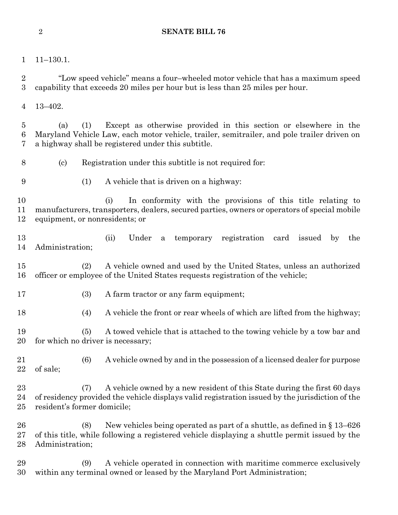11–130.1.

 "Low speed vehicle" means a four–wheeled motor vehicle that has a maximum speed capability that exceeds 20 miles per hour but is less than 25 miles per hour.

13–402.

 (a) (1) Except as otherwise provided in this section or elsewhere in the Maryland Vehicle Law, each motor vehicle, trailer, semitrailer, and pole trailer driven on a highway shall be registered under this subtitle.

- (c) Registration under this subtitle is not required for:
- 
- (1) A vehicle that is driven on a highway:

 (i) In conformity with the provisions of this title relating to manufacturers, transporters, dealers, secured parties, owners or operators of special mobile equipment, or nonresidents; or

 (ii) Under a temporary registration card issued by the Administration;

 (2) A vehicle owned and used by the United States, unless an authorized officer or employee of the United States requests registration of the vehicle;

(3) A farm tractor or any farm equipment;

(4) A vehicle the front or rear wheels of which are lifted from the highway;

 (5) A towed vehicle that is attached to the towing vehicle by a tow bar and for which no driver is necessary;

 (6) A vehicle owned by and in the possession of a licensed dealer for purpose of sale;

 (7) A vehicle owned by a new resident of this State during the first 60 days of residency provided the vehicle displays valid registration issued by the jurisdiction of the resident's former domicile;

 (8) New vehicles being operated as part of a shuttle, as defined in § 13–626 of this title, while following a registered vehicle displaying a shuttle permit issued by the Administration;

 (9) A vehicle operated in connection with maritime commerce exclusively within any terminal owned or leased by the Maryland Port Administration;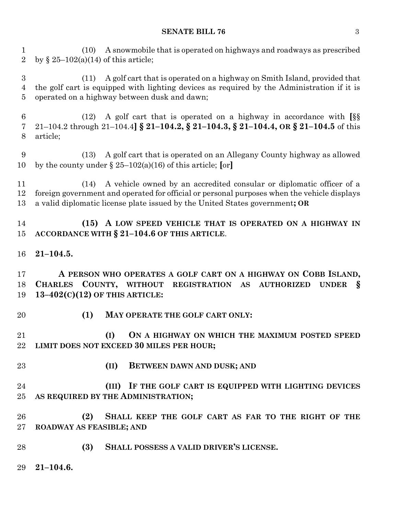#### **SENATE BILL 76** 3

 (10) A snowmobile that is operated on highways and roadways as prescribed 2 by  $\S 25-102(a)(14)$  of this article;

 (11) A golf cart that is operated on a highway on Smith Island, provided that the golf cart is equipped with lighting devices as required by the Administration if it is operated on a highway between dusk and dawn;

 (12) A golf cart that is operated on a highway in accordance with **[**§§ 21–104.2 through 21–104.4**] § 21–104.2, § 21–104.3, § 21–104.4, OR § 21–104.5** of this article;

 (13) A golf cart that is operated on an Allegany County highway as allowed by the county under § 25–102(a)(16) of this article; **[**or**]**

 (14) A vehicle owned by an accredited consular or diplomatic officer of a foreign government and operated for official or personal purposes when the vehicle displays a valid diplomatic license plate issued by the United States government**; OR**

 **(15) A LOW SPEED VEHICLE THAT IS OPERATED ON A HIGHWAY IN ACCORDANCE WITH § 21–104.6 OF THIS ARTICLE**.

**21–104.5.**

 **A PERSON WHO OPERATES A GOLF CART ON A HIGHWAY ON COBB ISLAND, CHARLES COUNTY, WITHOUT REGISTRATION AS AUTHORIZED UNDER § 13–402(C)(12) OF THIS ARTICLE:**

- 
- **(1) MAY OPERATE THE GOLF CART ONLY:**

 **(I) ON A HIGHWAY ON WHICH THE MAXIMUM POSTED SPEED LIMIT DOES NOT EXCEED 30 MILES PER HOUR;**

- 
- **(II) BETWEEN DAWN AND DUSK; AND**

 **(III) IF THE GOLF CART IS EQUIPPED WITH LIGHTING DEVICES AS REQUIRED BY THE ADMINISTRATION;**

 **(2) SHALL KEEP THE GOLF CART AS FAR TO THE RIGHT OF THE ROADWAY AS FEASIBLE; AND**

- **(3) SHALL POSSESS A VALID DRIVER'S LICENSE.**
- **21–104.6.**